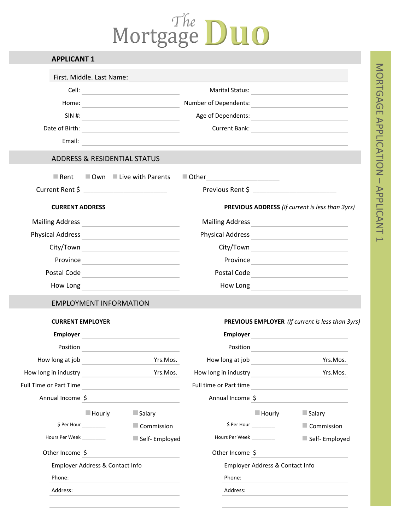# The DUO

| <b>APPLICANT 1</b>              |                       |                                                                         |                        |                                 |                                                                                                                                                                                                                                |
|---------------------------------|-----------------------|-------------------------------------------------------------------------|------------------------|---------------------------------|--------------------------------------------------------------------------------------------------------------------------------------------------------------------------------------------------------------------------------|
| First. Middle. Last Name:       |                       |                                                                         |                        |                                 |                                                                                                                                                                                                                                |
|                                 |                       |                                                                         |                        |                                 | Marital Status: National Accounts of the Community of the Community of the Community of the Community of the Community of the Community of the Community of the Community of the Community of the Community of the Community o |
|                                 |                       |                                                                         |                        |                                 |                                                                                                                                                                                                                                |
|                                 |                       | $SIN$ #:                                                                |                        |                                 |                                                                                                                                                                                                                                |
|                                 |                       |                                                                         |                        |                                 | Current Bank:                                                                                                                                                                                                                  |
|                                 |                       |                                                                         |                        |                                 |                                                                                                                                                                                                                                |
|                                 |                       | <b>ADDRESS &amp; RESIDENTIAL STATUS</b>                                 |                        |                                 |                                                                                                                                                                                                                                |
|                                 |                       | $\blacksquare$ Rent $\blacksquare$ Own $\blacksquare$ Live with Parents | $\blacksquare$ Other   |                                 |                                                                                                                                                                                                                                |
|                                 |                       |                                                                         | Previous Rent \$       |                                 |                                                                                                                                                                                                                                |
| <b>CURRENT ADDRESS</b>          |                       |                                                                         |                        |                                 | PREVIOUS ADDRESS (If current is less than 3yrs)                                                                                                                                                                                |
|                                 |                       |                                                                         |                        |                                 | Mailing Address <b>Mailing</b> Address <b>Mailing</b> Address                                                                                                                                                                  |
|                                 |                       |                                                                         |                        |                                 |                                                                                                                                                                                                                                |
|                                 |                       |                                                                         |                        |                                 |                                                                                                                                                                                                                                |
|                                 |                       |                                                                         |                        |                                 |                                                                                                                                                                                                                                |
|                                 |                       | Postal Code                                                             |                        |                                 | Postal Code                                                                                                                                                                                                                    |
|                                 |                       |                                                                         |                        |                                 |                                                                                                                                                                                                                                |
|                                 |                       | <b>EMPLOYMENT INFORMATION</b>                                           |                        |                                 |                                                                                                                                                                                                                                |
| <b>CURRENT EMPLOYER</b>         |                       |                                                                         |                        |                                 | PREVIOUS EMPLOYER (If current is less than 3yrs)                                                                                                                                                                               |
|                                 |                       |                                                                         | Employer               |                                 | the company of the company of the company of                                                                                                                                                                                   |
| Position                        |                       |                                                                         | Position               |                                 |                                                                                                                                                                                                                                |
| How long at job                 |                       | Yrs.Mos.                                                                | How long at job        |                                 | Yrs.Mos.                                                                                                                                                                                                                       |
| How long in industry            |                       | Yrs.Mos.                                                                | How long in industry   |                                 | Yrs.Mos.                                                                                                                                                                                                                       |
| Full Time or Part Time          |                       |                                                                         | Full time or Part time |                                 |                                                                                                                                                                                                                                |
| Annual Income \$                |                       |                                                                         | Annual Income \$       |                                 |                                                                                                                                                                                                                                |
|                                 | $\blacksquare$ Hourly | Salary                                                                  |                        | $\blacksquare$ Hourly           | Salary                                                                                                                                                                                                                         |
| \$Per Hour                      |                       | $\blacksquare$ Commission                                               |                        | \$Per Hour                      | Commission                                                                                                                                                                                                                     |
| Hours Per Week                  |                       | Self- Employed                                                          | Hours Per Week         |                                 | Self-Employed                                                                                                                                                                                                                  |
| Other Income \$                 |                       |                                                                         | Other Income \$        |                                 |                                                                                                                                                                                                                                |
| Employer Address & Contact Info |                       |                                                                         |                        | Employer Address & Contact Info |                                                                                                                                                                                                                                |
| Phone:                          |                       |                                                                         | Phone:                 |                                 |                                                                                                                                                                                                                                |
| Address:                        |                       |                                                                         | Address:               |                                 |                                                                                                                                                                                                                                |
|                                 |                       |                                                                         |                        |                                 |                                                                                                                                                                                                                                |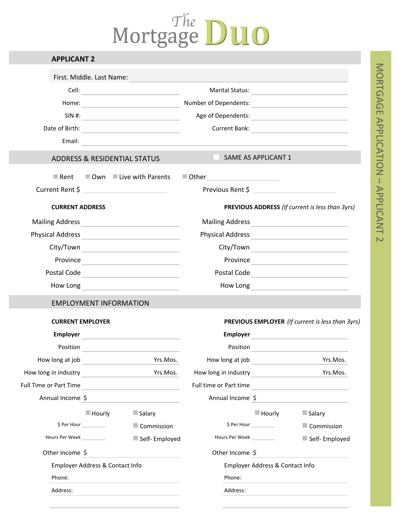# The DUO

| <b>APPLICANT 2</b>        |                       |                                          |                        |                                 |                                                                                                                |
|---------------------------|-----------------------|------------------------------------------|------------------------|---------------------------------|----------------------------------------------------------------------------------------------------------------|
| First. Middle. Last Name: |                       |                                          |                        |                                 |                                                                                                                |
|                           |                       |                                          |                        |                                 | Marital Status: National Account of the Account of the Account of the Account of the Account of the Account of |
|                           |                       |                                          |                        |                                 |                                                                                                                |
|                           |                       | $SIN$ #:                                 |                        |                                 | Age of Dependents:                                                                                             |
|                           |                       |                                          |                        |                                 | Current Bank:                                                                                                  |
|                           |                       |                                          |                        |                                 |                                                                                                                |
|                           |                       | <b>ADDRESS &amp; RESIDENTIAL STATUS</b>  |                        | SAME AS APPLICANT 1             |                                                                                                                |
|                           |                       | Rent $\Box$ Own $\Box$ Live with Parents | $\blacksquare$ Other   |                                 |                                                                                                                |
|                           |                       | Current Rent \$                          | Previous Rent \$       |                                 |                                                                                                                |
| <b>CURRENT ADDRESS</b>    |                       |                                          |                        |                                 | PREVIOUS ADDRESS (If current is less than 3yrs)                                                                |
|                           |                       |                                          |                        |                                 | Mailing Address <b>Mailing</b> Address <b>Mailing</b> Address <b>Mailing</b> Address <b>Mail Address</b>       |
|                           |                       |                                          |                        |                                 |                                                                                                                |
|                           |                       |                                          |                        |                                 |                                                                                                                |
|                           |                       |                                          |                        |                                 | Province Province                                                                                              |
|                           |                       | Postal Code                              |                        |                                 | Postal Code                                                                                                    |
|                           |                       |                                          |                        |                                 |                                                                                                                |
|                           |                       | <b>EMPLOYMENT INFORMATION</b>            |                        |                                 |                                                                                                                |
| <b>CURRENT EMPLOYER</b>   |                       |                                          |                        |                                 | PREVIOUS EMPLOYER (If current is less than 3yrs)                                                               |
|                           |                       |                                          | <b>Employer</b>        |                                 | <u> 1989 - Andrea State Barbara, pre</u>                                                                       |
|                           |                       | Position Position                        | Position               |                                 |                                                                                                                |
| How long at job           |                       | Yrs.Mos.                                 | How long at job        |                                 | Yrs.Mos.                                                                                                       |
| How long in industry      |                       | Yrs.Mos.                                 | How long in industry   |                                 | Yrs.Mos.                                                                                                       |
| Full Time or Part Time    |                       |                                          | Full time or Part time |                                 |                                                                                                                |
| Annual Income \$          |                       |                                          | Annual Income \$       |                                 |                                                                                                                |
|                           | $\blacksquare$ Hourly | Salary                                   |                        | $\blacksquare$ Hourly           | Salary                                                                                                         |
|                           | \$Per Hour            | $\blacksquare$ Commission                |                        | \$Per Hour                      | Commission                                                                                                     |
| Hours Per Week            |                       | Self- Employed                           | Hours Per Week         |                                 | Self-Employed                                                                                                  |
| Other Income \$           |                       |                                          | Other Income \$        |                                 |                                                                                                                |
|                           |                       | Employer Address & Contact Info          |                        | Employer Address & Contact Info |                                                                                                                |
| Phone:                    |                       |                                          | Phone:                 |                                 |                                                                                                                |
| Address:                  |                       |                                          | Address:               |                                 |                                                                                                                |
|                           |                       |                                          |                        |                                 |                                                                                                                |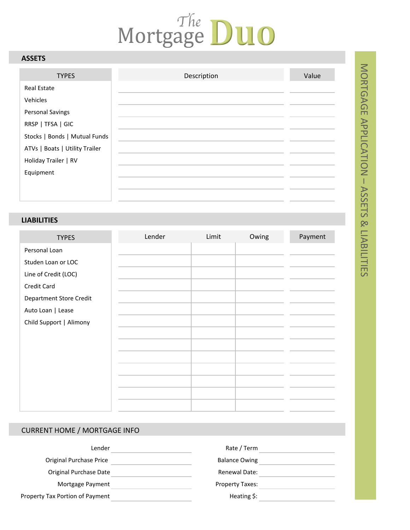## Mortgage DUO

## **ASSETS**

| <b>TYPES</b>                   | Description | Value |
|--------------------------------|-------------|-------|
| <b>Real Estate</b>             |             |       |
| Vehicles                       |             |       |
| <b>Personal Savings</b>        |             |       |
| RRSP   TFSA   GIC              |             |       |
| Stocks   Bonds   Mutual Funds  |             |       |
| ATVs   Boats   Utility Trailer |             |       |
| Holiday Trailer   RV           |             |       |
| Equipment                      |             |       |
|                                |             |       |
|                                |             |       |

## **LIABILITIES**

| <b>TYPES</b>                   | Lender | Limit | Owing | Payment |
|--------------------------------|--------|-------|-------|---------|
| Personal Loan                  |        |       |       |         |
| Studen Loan or LOC             |        |       |       |         |
| Line of Credit (LOC)           |        |       |       |         |
| Credit Card                    |        |       |       |         |
| <b>Department Store Credit</b> |        |       |       |         |
| Auto Loan   Lease              |        |       |       |         |
| Child Support   Alimony        |        |       |       |         |
|                                |        |       |       |         |
|                                |        |       |       |         |
|                                |        |       |       |         |
|                                |        |       |       |         |
|                                |        |       |       |         |
|                                |        |       |       |         |
|                                |        |       |       |         |

## **CURRENT HOME / MORTGAGE INFO**

| Rate / Term             | Lender                          |
|-------------------------|---------------------------------|
| <b>Balance Owing</b>    | Original Purchase Price         |
| Renewal Date:           | Original Purchase Date          |
| <b>Property Taxes:</b>  | Mortgage Payment                |
| Heating $\frac{1}{2}$ : | Property Tax Portion of Payment |
|                         |                                 |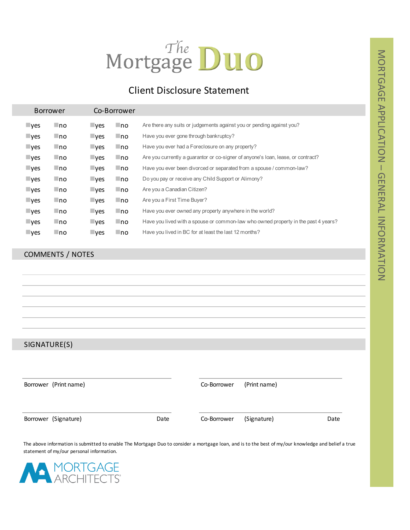## Mortgage DUO

## Client Disclosure Statement

| Co-Borrower<br><b>Borrower</b> |      |                         |           |                                                                                    |
|--------------------------------|------|-------------------------|-----------|------------------------------------------------------------------------------------|
| $\blacksquare$ yes             | l no | $\blacksquare$ ves      | ∟no       | Are there any suits or judgements against you or pending against you?              |
| $\blacksquare$ yes             | ∟no  | $\blacksquare$ ves      | ⊟no       | Have you ever gone through bankruptcy?                                             |
| $\blacksquare$ yes             | ∟no  | $\blacksquare$ yes      | Ino.      | Have you ever had a Foreclosure on any property?                                   |
| $\mathsf{L}$ yes               | l no | $\mathsf{v}\mathsf{es}$ | ⊟no       | Are you currently a guarantor or co-signer of anyone's loan, lease, or contract?   |
| $\mathsf{L}$ yes               | ∟no  | $\nu$ es                | $\Box$ no | Have you ever been divorced or separated from a spouse / common-law?               |
| $\blacksquare$ yes             | ∟no  | $\blacksquare$ ves      | l no      | Do you pay or receive any Child Support or Alimony?                                |
| $\blacksquare$ yes             | ∟no  | $\mathsf{I}$ yes        | l no      | Are you a Canadian Citizen?                                                        |
| $\blacksquare$ yes             | ∟no  | $\mathsf{I}$ yes        | $\Box$ no | Are you a First Time Buyer?                                                        |
| $\blacksquare$ yes             | l no | $\mathsf{L}$ yes        | l no      | Have you ever owned any property anywhere in the world?                            |
| $\blacksquare$ yes             | ∟no  | $\blacksquare$ yes      | Ino.      | Have you lived with a spouse or common-law who owned property in the past 4 years? |
| $\mathsf{I}$ yes               | ∟no  | $\neg$ yes              | Ino.      | Have you lived in BC for at least the last 12 months?                              |

## COMMENTS / NOTES

SIGNATURE(S)

| Borrower (Print name) |      | Co-Borrower | (Print name) |      |
|-----------------------|------|-------------|--------------|------|
| Borrower (Signature)  | Date | Co-Borrower | (Signature)  | Date |

The above information is submitted to enable The Mortgage Duo to consider a mortgage loan, and is to the best of my/our knowledge and belief a true statement of my/our personal information.